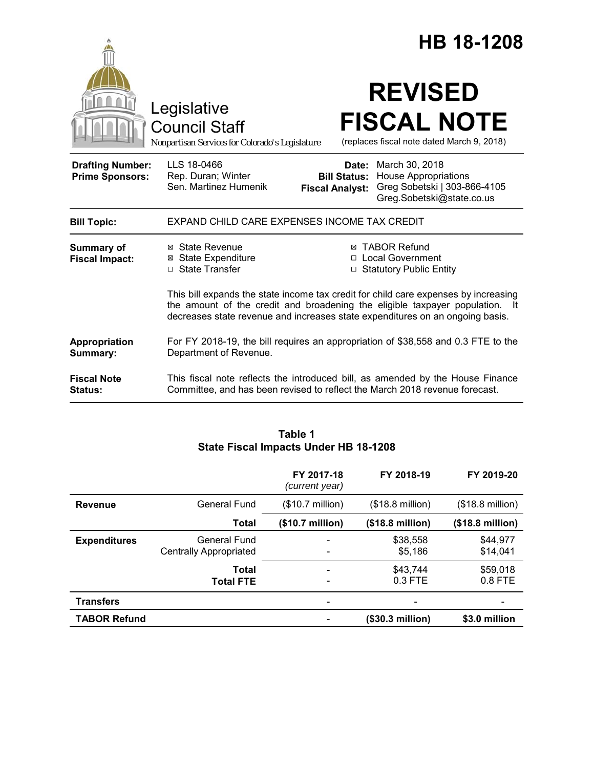|                                                   | Legislative<br><b>Council Staff</b><br>Nonpartisan Services for Colorado's Legislature                                                                                                                                                               |                                 | <b>HB 18-1208</b><br><b>REVISED</b><br><b>FISCAL NOTE</b><br>(replaces fiscal note dated March 9, 2018)                                                       |  |
|---------------------------------------------------|------------------------------------------------------------------------------------------------------------------------------------------------------------------------------------------------------------------------------------------------------|---------------------------------|---------------------------------------------------------------------------------------------------------------------------------------------------------------|--|
| <b>Drafting Number:</b><br><b>Prime Sponsors:</b> | LLS 18-0466<br>Rep. Duran; Winter<br>Sen. Martinez Humenik                                                                                                                                                                                           | Date:<br><b>Fiscal Analyst:</b> | March 30, 2018<br><b>Bill Status: House Appropriations</b><br>Greg Sobetski   303-866-4105<br>Greg.Sobetski@state.co.us                                       |  |
| <b>Bill Topic:</b>                                | EXPAND CHILD CARE EXPENSES INCOME TAX CREDIT                                                                                                                                                                                                         |                                 |                                                                                                                                                               |  |
| <b>Summary of</b><br><b>Fiscal Impact:</b>        | ⊠ State Revenue<br><b>⊠</b> State Expenditure<br>□ State Transfer                                                                                                                                                                                    | П.                              | <b>⊠ TABOR Refund</b><br><b>Local Government</b><br>□ Statutory Public Entity                                                                                 |  |
|                                                   | This bill expands the state income tax credit for child care expenses by increasing<br>the amount of the credit and broadening the eligible taxpayer population. It<br>decreases state revenue and increases state expenditures on an ongoing basis. |                                 |                                                                                                                                                               |  |
| Appropriation<br>Summary:                         | For FY 2018-19, the bill requires an appropriation of \$38,558 and 0.3 FTE to the<br>Department of Revenue.                                                                                                                                          |                                 |                                                                                                                                                               |  |
| <b>Fiscal Note</b><br><b>Status:</b>              |                                                                                                                                                                                                                                                      |                                 | This fiscal note reflects the introduced bill, as amended by the House Finance<br>Committee, and has been revised to reflect the March 2018 revenue forecast. |  |

# **Table 1 State Fiscal Impacts Under HB 18-1208**

|                     |                                               | FY 2017-18<br>(current year)                         | FY 2018-19                | FY 2019-20                |
|---------------------|-----------------------------------------------|------------------------------------------------------|---------------------------|---------------------------|
| <b>Revenue</b>      | General Fund                                  | $($10.7 \text{ million})$                            | $($18.8 \text{ million})$ | $($18.8 \text{ million})$ |
|                     | <b>Total</b>                                  | (\$10.7 million)                                     | $($18.8 \text{ million})$ | $($18.8 \text{ million})$ |
| <b>Expenditures</b> | General Fund<br><b>Centrally Appropriated</b> | ۰<br>$\overline{\phantom{a}}$                        | \$38,558<br>\$5,186       | \$44,977<br>\$14,041      |
|                     | Total<br><b>Total FTE</b>                     | $\overline{\phantom{a}}$<br>$\overline{\phantom{a}}$ | \$43,744<br>0.3 FTE       | \$59,018<br>$0.8$ FTE     |
| <b>Transfers</b>    |                                               |                                                      |                           |                           |
| <b>TABOR Refund</b> |                                               |                                                      | (\$30.3 million)          | \$3.0 million             |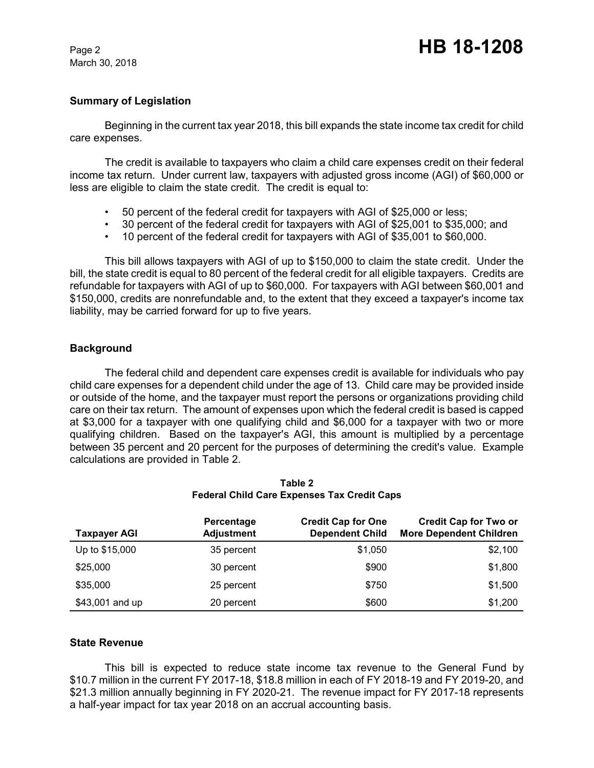#### **Summary of Legislation**

Beginning in the current tax year 2018, this bill expands the state income tax credit for child care expenses.

The credit is available to taxpayers who claim a child care expenses credit on their federal income tax return. Under current law, taxpayers with adjusted gross income (AGI) of \$60,000 or less are eligible to claim the state credit. The credit is equal to:

- 50 percent of the federal credit for taxpayers with AGI of \$25,000 or less;
- 30 percent of the federal credit for taxpayers with AGI of \$25,001 to \$35,000; and
- 10 percent of the federal credit for taxpayers with AGI of \$35,001 to \$60,000.

This bill allows taxpayers with AGI of up to \$150,000 to claim the state credit. Under the bill, the state credit is equal to 80 percent of the federal credit for all eligible taxpayers. Credits are refundable for taxpayers with AGI of up to \$60,000. For taxpayers with AGI between \$60,001 and \$150,000, credits are nonrefundable and, to the extent that they exceed a taxpayer's income tax liability, may be carried forward for up to five years.

### **Background**

The federal child and dependent care expenses credit is available for individuals who pay child care expenses for a dependent child under the age of 13. Child care may be provided inside or outside of the home, and the taxpayer must report the persons or organizations providing child care on their tax return. The amount of expenses upon which the federal credit is based is capped at \$3,000 for a taxpayer with one qualifying child and \$6,000 for a taxpayer with two or more qualifying children. Based on the taxpayer's AGI, this amount is multiplied by a percentage between 35 percent and 20 percent for the purposes of determining the credit's value. Example calculations are provided in Table 2.

| <b>Taxpayer AGI</b> | Percentage<br><b>Adjustment</b> | <b>Credit Cap for One</b><br><b>Dependent Child</b> | <b>Credit Cap for Two or</b><br><b>More Dependent Children</b> |
|---------------------|---------------------------------|-----------------------------------------------------|----------------------------------------------------------------|
| Up to \$15,000      | 35 percent                      | \$1,050                                             | \$2,100                                                        |
| \$25,000            | 30 percent                      | \$900                                               | \$1,800                                                        |
| \$35,000            | 25 percent                      | \$750                                               | \$1,500                                                        |
| \$43,001 and up     | 20 percent                      | \$600                                               | \$1,200                                                        |

**Table 2 Federal Child Care Expenses Tax Credit Caps**

#### **State Revenue**

This bill is expected to reduce state income tax revenue to the General Fund by \$10.7 million in the current FY 2017-18, \$18.8 million in each of FY 2018-19 and FY 2019-20, and \$21.3 million annually beginning in FY 2020-21. The revenue impact for FY 2017-18 represents a half-year impact for tax year 2018 on an accrual accounting basis.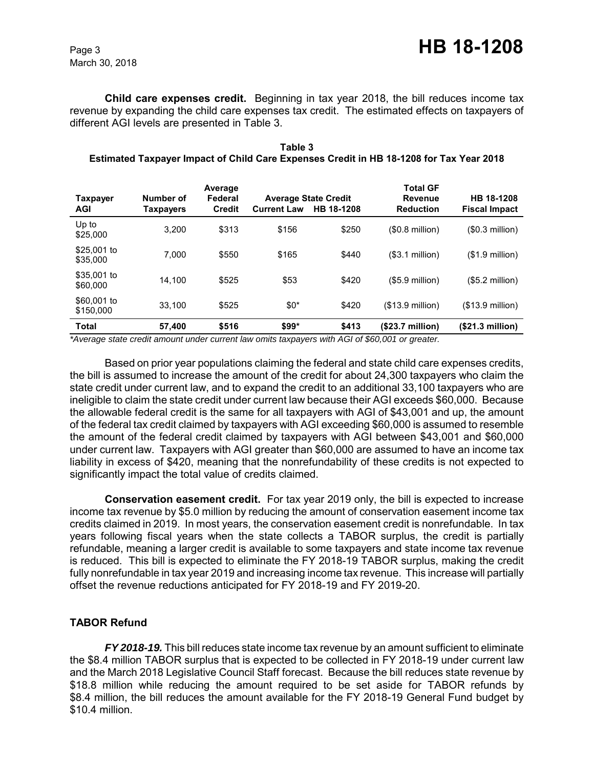**Child care expenses credit.** Beginning in tax year 2018, the bill reduces income tax revenue by expanding the child care expenses tax credit. The estimated effects on taxpayers of different AGI levels are presented in Table 3.

| Table 3                                                                                 |  |
|-----------------------------------------------------------------------------------------|--|
| Estimated Taxpayer Impact of Child Care Expenses Credit in HB 18-1208 for Tax Year 2018 |  |

| <b>Taxpayer</b><br><b>AGI</b> | Number of<br>Taxpayers | Average<br>Federal<br><b>Credit</b> | <b>Current Law</b> | <b>Average State Credit</b><br>HB 18-1208 | <b>Total GF</b><br>Revenue<br><b>Reduction</b> | HB 18-1208<br><b>Fiscal Impact</b> |
|-------------------------------|------------------------|-------------------------------------|--------------------|-------------------------------------------|------------------------------------------------|------------------------------------|
| Up to<br>\$25,000             | 3.200                  | \$313                               | \$156              | \$250                                     | $($ \$0.8 million $)$                          | (\$0.3 million)                    |
| \$25,001 to<br>\$35,000       | 7.000                  | \$550                               | \$165              | \$440                                     | (\$3.1 million)                                | $($1.9$ million)                   |
| \$35,001 to<br>\$60,000       | 14.100                 | \$525                               | \$53               | \$420                                     | $($5.9$ million)                               | (\$5.2 million)                    |
| \$60,001 to<br>\$150,000      | 33.100                 | \$525                               | $$0^*$             | \$420                                     | $($13.9$ million)                              | $($13.9$ million)                  |
| <b>Total</b>                  | 57,400                 | \$516                               | $$99*$             | \$413                                     | $(S23.7$ million)                              | (\$21.3 million)                   |

*\*Average state credit amount under current law omits taxpayers with AGI of \$60,001 or greater.*

Based on prior year populations claiming the federal and state child care expenses credits, the bill is assumed to increase the amount of the credit for about 24,300 taxpayers who claim the state credit under current law, and to expand the credit to an additional 33,100 taxpayers who are ineligible to claim the state credit under current law because their AGI exceeds \$60,000. Because the allowable federal credit is the same for all taxpayers with AGI of \$43,001 and up, the amount of the federal tax credit claimed by taxpayers with AGI exceeding \$60,000 is assumed to resemble the amount of the federal credit claimed by taxpayers with AGI between \$43,001 and \$60,000 under current law. Taxpayers with AGI greater than \$60,000 are assumed to have an income tax liability in excess of \$420, meaning that the nonrefundability of these credits is not expected to significantly impact the total value of credits claimed.

**Conservation easement credit.** For tax year 2019 only, the bill is expected to increase income tax revenue by \$5.0 million by reducing the amount of conservation easement income tax credits claimed in 2019. In most years, the conservation easement credit is nonrefundable. In tax years following fiscal years when the state collects a TABOR surplus, the credit is partially refundable, meaning a larger credit is available to some taxpayers and state income tax revenue is reduced. This bill is expected to eliminate the FY 2018-19 TABOR surplus, making the credit fully nonrefundable in tax year 2019 and increasing income tax revenue. This increase will partially offset the revenue reductions anticipated for FY 2018-19 and FY 2019-20.

# **TABOR Refund**

*FY 2018-19.* This bill reduces state income tax revenue by an amount sufficient to eliminate the \$8.4 million TABOR surplus that is expected to be collected in FY 2018-19 under current law and the March 2018 Legislative Council Staff forecast. Because the bill reduces state revenue by \$18.8 million while reducing the amount required to be set aside for TABOR refunds by \$8.4 million, the bill reduces the amount available for the FY 2018-19 General Fund budget by \$10.4 million.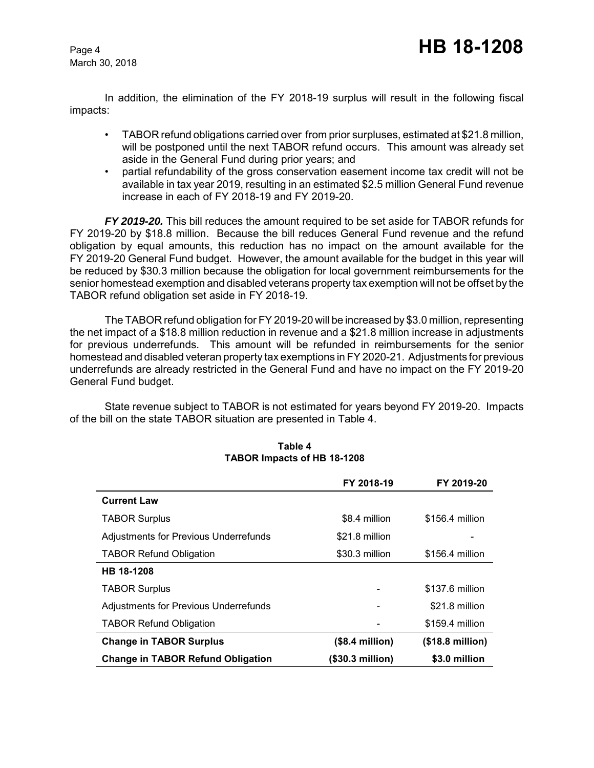In addition, the elimination of the FY 2018-19 surplus will result in the following fiscal impacts:

- TABOR refund obligations carried over from prior surpluses, estimated at \$21.8 million, will be postponed until the next TABOR refund occurs. This amount was already set aside in the General Fund during prior years; and
- partial refundability of the gross conservation easement income tax credit will not be available in tax year 2019, resulting in an estimated \$2.5 million General Fund revenue increase in each of FY 2018-19 and FY 2019-20.

*FY 2019-20.* This bill reduces the amount required to be set aside for TABOR refunds for FY 2019-20 by \$18.8 million. Because the bill reduces General Fund revenue and the refund obligation by equal amounts, this reduction has no impact on the amount available for the FY 2019-20 General Fund budget. However, the amount available for the budget in this year will be reduced by \$30.3 million because the obligation for local government reimbursements for the senior homestead exemption and disabled veterans property tax exemption will not be offset by the TABOR refund obligation set aside in FY 2018-19.

The TABOR refund obligation for FY 2019-20 will be increased by \$3.0 million, representing the net impact of a \$18.8 million reduction in revenue and a \$21.8 million increase in adjustments for previous underrefunds. This amount will be refunded in reimbursements for the senior homestead and disabled veteran property tax exemptions in FY 2020-21. Adjustments for previous underrefunds are already restricted in the General Fund and have no impact on the FY 2019-20 General Fund budget.

State revenue subject to TABOR is not estimated for years beyond FY 2019-20. Impacts of the bill on the state TABOR situation are presented in Table 4.

|                                              | FY 2018-19       | FY 2019-20                |
|----------------------------------------------|------------------|---------------------------|
| <b>Current Law</b>                           |                  |                           |
| <b>TABOR Surplus</b>                         | \$8.4 million    | \$156.4 million           |
| <b>Adjustments for Previous Underrefunds</b> | \$21.8 million   |                           |
| <b>TABOR Refund Obligation</b>               | \$30.3 million   | \$156.4 million           |
| HB 18-1208                                   |                  |                           |
| <b>TABOR Surplus</b>                         |                  | \$137.6 million           |
| Adjustments for Previous Underrefunds        |                  | \$21.8 million            |
| <b>TABOR Refund Obligation</b>               |                  | \$159.4 million           |
| <b>Change in TABOR Surplus</b>               | $($8.4$ million) | $($18.8 \text{ million})$ |
| <b>Change in TABOR Refund Obligation</b>     | (\$30.3 million) | \$3.0 million             |

#### **Table 4 TABOR Impacts of HB 18-1208**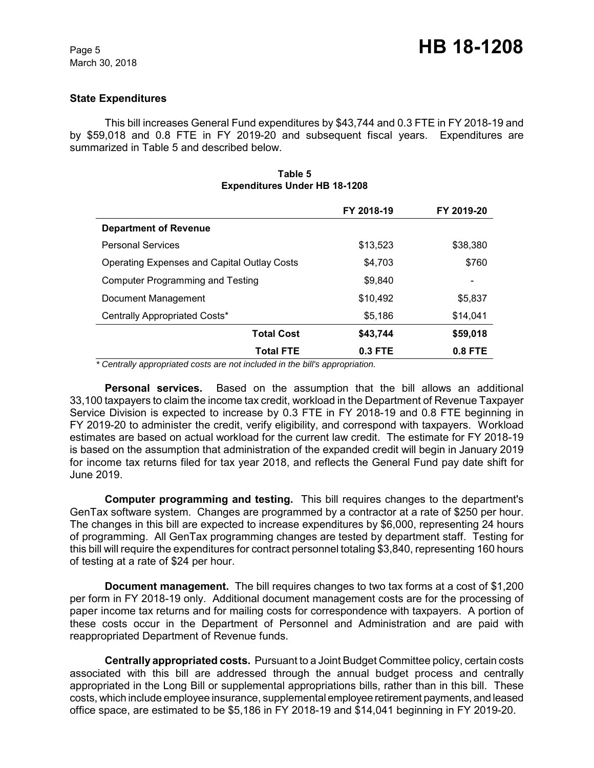#### **State Expenditures**

This bill increases General Fund expenditures by \$43,744 and 0.3 FTE in FY 2018-19 and by \$59,018 and 0.8 FTE in FY 2019-20 and subsequent fiscal years. Expenditures are summarized in Table 5 and described below.

|                                                    | FY 2018-19 | FY 2019-20 |
|----------------------------------------------------|------------|------------|
| <b>Department of Revenue</b>                       |            |            |
| <b>Personal Services</b>                           | \$13.523   | \$38,380   |
| <b>Operating Expenses and Capital Outlay Costs</b> | \$4.703    | \$760      |
| <b>Computer Programming and Testing</b>            | \$9.840    |            |
| Document Management                                | \$10.492   | \$5,837    |
| Centrally Appropriated Costs*                      | \$5.186    | \$14,041   |
| <b>Total Cost</b>                                  | \$43,744   | \$59,018   |
| <b>Total FTE</b>                                   | $0.3$ FTE  | $0.8$ FTE  |

#### **Table 5 Expenditures Under HB 18-1208**

 *\* Centrally appropriated costs are not included in the bill's appropriation.*

**Personal services.** Based on the assumption that the bill allows an additional 33,100 taxpayers to claim the income tax credit, workload in the Department of Revenue Taxpayer Service Division is expected to increase by 0.3 FTE in FY 2018-19 and 0.8 FTE beginning in FY 2019-20 to administer the credit, verify eligibility, and correspond with taxpayers. Workload estimates are based on actual workload for the current law credit. The estimate for FY 2018-19 is based on the assumption that administration of the expanded credit will begin in January 2019 for income tax returns filed for tax year 2018, and reflects the General Fund pay date shift for June 2019.

**Computer programming and testing.** This bill requires changes to the department's GenTax software system. Changes are programmed by a contractor at a rate of \$250 per hour. The changes in this bill are expected to increase expenditures by \$6,000, representing 24 hours of programming. All GenTax programming changes are tested by department staff. Testing for this bill will require the expenditures for contract personnel totaling \$3,840, representing 160 hours of testing at a rate of \$24 per hour.

**Document management.** The bill requires changes to two tax forms at a cost of \$1,200 per form in FY 2018-19 only. Additional document management costs are for the processing of paper income tax returns and for mailing costs for correspondence with taxpayers. A portion of these costs occur in the Department of Personnel and Administration and are paid with reappropriated Department of Revenue funds.

**Centrally appropriated costs.** Pursuant to a Joint Budget Committee policy, certain costs associated with this bill are addressed through the annual budget process and centrally appropriated in the Long Bill or supplemental appropriations bills, rather than in this bill. These costs, which include employee insurance, supplemental employee retirement payments, and leased office space, are estimated to be \$5,186 in FY 2018-19 and \$14,041 beginning in FY 2019-20.